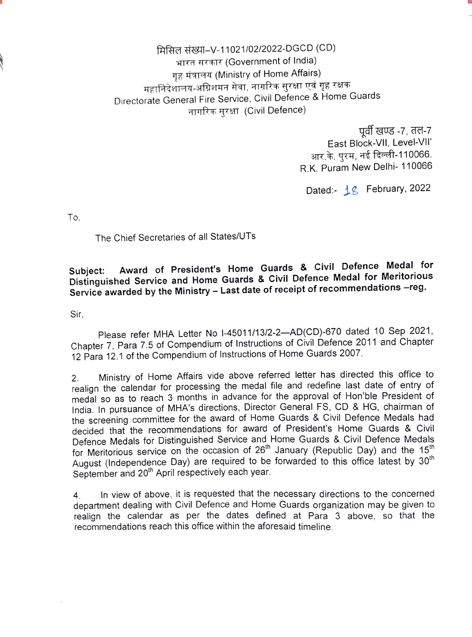मिसिल संख्या-V-11021/02/2022-DGCD (CD) भारत सरकार (Government of India) गृह मंत्रालय (Ministry of Home Affairs) महानिदेशालय-अग्निशमन सेवा, नागरिक सुरक्षा एवं गृह रक्षक Directorate General Fire Service, Civil Defence & Home Guards नागरिक सुरक्षा (Civil Defence)

> पूर्वी खण्ड -7, तल-7 East Block-VIl, Level-VIl' आर.के. पुरम, नई दिल्ली-110066. R.K. Puram New Delhi- 110066

Dated:-  $18$  February, 2022

To.

The Chief Secretaries of all States/UTs

## Subject: Award of President's Home Guards & Civil Defence Medal for Distinguished Service and Home Guards & Civil Defence Medal for Meritorious Service awarded by the Ministry - Last date of receipt of recommendations -reg.

Sir.

Please refer MHA Letter No I-45011/13/2-2--- AD(CD)-670 dated 10 Sep 2021, Chapter 7, Para 7.5 of Compendium of Instructions of Civil Defence 2011 and Chapter 12 Para 12.1 of the Compendium of Instructions of Home Guards 2007.

Ministry of Home Affairs vide above referred letter has directed this office to realign the calendar for processing the medal file and redefine last date of entry of medal so as to reach 3 months in advance for the approval of Hon'ble President of India. In pursuance of MHA's directions, Director General FS, CD & HG, chairman of the screening committee for the award of Home Guards & Civil Defence Medals had decided that the recommendations for award of President's Home Guards & Civil Defence Medals for Distinguished Service and Home Guards & Civil Defence Medals for Meritorious service on the occasion of 26<sup>th</sup> January (Republic Day) and the 15<sup>th</sup> August (Independence Day) are required to be forwarded to this office latest by 30<sup>th</sup> September and 20<sup>th</sup> April respectively each year. 2.

4. In view of above, it is requested that the necessary directions to the concerned department dealing with Civil Defence and Home Guards organization may be given to realign the calendar as per the dates defined at Para 3 above, so that the recommendations reach this office within the aforesaid timeline